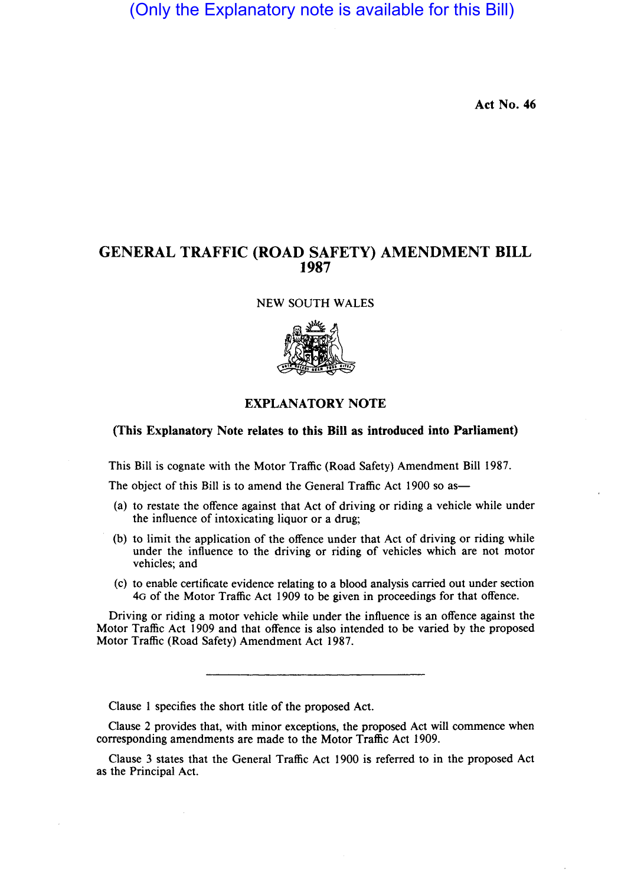(Only the Explanatory note is available for this Bill)

Act No. 46

## GENERAL TRAFFIC (ROAD SAFETY) AMENDMENT BILL 1987

NEW SOUTH WALES



## EXPLANATORY NOTE

## (This Explanatory Note relates to this Bill as introduced into Parliament)

This Bill is cognate with the Motor Traffic (Road Safety) Amendment Bill 1987.

The object of this Bill is to amend the General Traffic Act 1900 so as—

- (a) to restate the offence against that Act of driving or riding a vehicle while under the influence of intoxicating liquor or a drug;
- (b) to limit the application of the offence under that Act of driving or riding while under the influence to the driving or riding of vehicles which are not motor vehicles; and
- (c) to enable certificate evidence relating to a blood analysis carried out under section 4G of the Motor Traffic Act 1909 to be given in proceedings for that offence.

Driving or riding a motor vehicle while under the influence is an offence against the Motor Traffic Act 1909 and that offence is also intended to be varied by the proposed Motor Traffic (Road Safety) Amendment Act 1987.

Clause I specifies the short title of the proposed Act.

Clause 2 provides that, with minor exceptions, the proposed Act will commence when corresponding amendments are made to the Motor Traffic Act 1909.

Clause 3 states that the General Traffic Act 1900 is referred to in the proposed Act as the Principal Act.